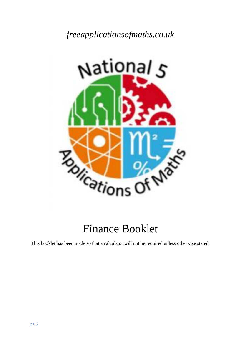*freeapplicationsofmaths.co.uk*



# Finance Booklet

This booklet has been made so that a calculator will not be required unless otherwise stated.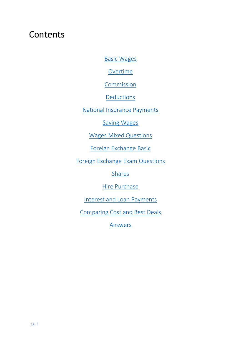## Contents

[Basic Wages](#page-2-0)

**[Overtime](#page-5-0)** 

**[Commission](#page-8-0)** 

**[Deductions](#page-11-0)** 

[National Insurance Payments](#page-14-0)

[Saving Wages](#page-19-0)

[Wages Mixed Questions](#page-25-0)

[Foreign Exchange](#page-30-0) Basic

[Foreign Exchange Exam Questions](#page-33-0)

[Shares](#page-40-0)

[Hire Purchase](#page-43-0)

Interest and Loan [Payments](#page-48-0)

<span id="page-1-0"></span>[Comparing Cost and Best Deals](#page-52-0)

[Answers](#page-1-0)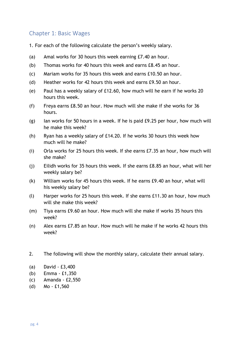## <span id="page-2-0"></span>Chapter 1: Basic Wages

- 1. For each of the following calculate the person's weekly salary.
- (a) Amal works for 30 hours this week earning £7.40 an hour.
- (b) Thomas works for 40 hours this week and earns £8.45 an hour.
- (c) Mariam works for 35 hours this week and earns £10.50 an hour.
- (d) Heather works for 42 hours this week and earns £9.50 an hour.
- (e) Paul has a weekly salary of £12.60, how much will he earn if he works 20 hours this week.
- (f) Freya earns £8.50 an hour. How much will she make if she works for 36 hours.
- $(g)$  Ian works for 50 hours in a week. If he is paid  $E9.25$  per hour, how much will he make this week?
- (h) Ryan has a weekly salary of £14.20. If he works 30 hours this week how much will he make?
- (i) Orla works for 25 hours this week. If she earns £7.35 an hour, how much will she make?
- (j) Eilidh works for 35 hours this week. If she earns £8.85 an hour, what will her weekly salary be?
- (k) William works for 45 hours this week. If he earns £9.40 an hour, what will his weekly salary be?
- (l) Harper works for 25 hours this week. If she earns £11.30 an hour, how much will she make this week?
- (m) Tiya earns £9.60 an hour. How much will she make if works 35 hours this week?
- (n) Alex earns £7.85 an hour. How much will he make if he works 42 hours this week?
- 2. The following will show the monthly salary, calculate their annual salary.
- (a) David £3,400
- (b) Emma £1,350
- (c) Amanda £2,550
- (d) Mo £1,560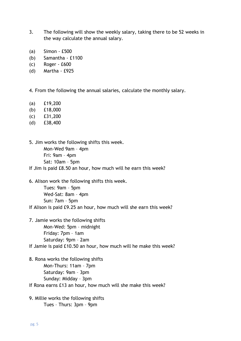- 3. The following will show the weekly salary, taking there to be 52 weeks in the way calculate the annual salary.
- (a) Simon £500
- (b) Samantha £1100
- (c) Roger £600
- (d) Martha £925

4. From the following the annual salaries, calculate the monthly salary.

- (a) £19,200
- (b) £18,000
- (c) £31,200
- (d) £38,400

5. Jim works the following shifts this week. Mon-Wed 9am – 4pm Fri: 9am – 4pm Sat: 10am – 5pm

If Jim is paid £8.50 an hour, how much will he earn this week?

6. Alison work the following shifts this week.

Tues: 9am – 5pm Wed-Sat: 8am – 4pm Sun: 7am – 5pm

If Alison is paid £9.25 an hour, how much will she earn this week?

- 7. Jamie works the following shifts Mon-Wed: 5pm – midnight Friday: 7pm – 1am Saturday: 9pm – 2am If Jamie is paid £10.50 an hour, how much will he make this week?
- 8. Rona works the following shifts Mon-Thurs: 11am – 7pm Saturday: 9am – 3pm Sunday: Midday – 3pm

If Rona earns £13 an hour, how much will she make this week?

9. Millie works the following shifts Tues – Thurs: 3pm – 9pm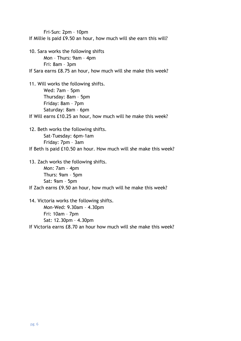Fri-Sun: 2pm – 10pm If Millie is paid £9.50 an hour, how much will she earn this will?

10. Sara works the following shifts Mon – Thurs: 9am – 4pm Fri: 8am – 3pm If Sara earns £8.75 an hour, how much will she make this week?

11. Will works the following shifts. Wed: 7am – 5pm Thursday: 8am – 5pm Friday: 8am – 7pm Saturday: 8am – 6pm If Will earns £10.25 an hour, how much will he make this week?

12. Beth works the following shifts. Sat-Tuesday: 6pm-1am Friday: 7pm – 3am If Beth is paid £10.50 an hour. How much will she make this week?

13. Zach works the following shifts. Mon: 7am – 4pm Thurs: 9am – 5pm Sat: 9am – 5pm If Zach earns £9.50 an hour, how much will he make this week?

14. Victoria works the following shifts. Mon-Wed: 9.30am – 4.30pm Fri: 10am – 7pm Sat: 12.30pm – 4.30pm If Victoria earns £8.70 an hour how much will she make this week?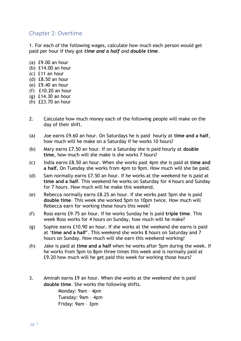#### <span id="page-5-0"></span>Chapter 2: Overtime

1. For each of the following wages, calculate how much each person would get paid per hour if they got *time and a half and double time*.

- (a) £9.00 an hour
- (b) £14.00 an hour
- (c) £11 an hour
- (d) £8.50 an hour
- (e) £9.40 an hour
- (f) £10.20 an hour
- (g) £14.30 an hour
- (h) £23.70 an hour
- 2. Calculate how much money each of the following people will make on the day of their shift.
- (a) Joe earns £9.60 an hour. On Saturdays he is paid hourly at **time and a half**, how much will he make on a Saturday if he works 10 hours?
- (b) Mary earns £7.50 an hour. If on a Saturday she is paid hourly at **double time**, how much will she make is she works 7 hours?
- (c) India earns £8.50 an hour. When she works past 4pm she is paid at **time and a half.** On Tuesday she works from 4pm to 9pm. How much will she be paid.
- (d) Sam normally earns £7.50 an hour. If he works at the weekend he is paid at **time and a half**. This weekend he works on Saturday for 4 hours and Sunday for 7 hours. How much will he make this weekend.
- (e) Rebecca normally earns £8.25 an hour. If she works past 5pm she is paid **double time**. This week she worked 5pm to 10pm twice. How much will Rebecca earn for working these hours this week?
- (f) Ross earns £9.75 an hour. If he works Sunday he is paid **triple time**. This week Ross works for 4 hours on Sunday, how much will he make?
- (g) Sophie earns £10.90 an hour. If she works at the weekend she earns is paid at '**time and a half'**. This weekend she works 8 hours on Saturday and 7 hours on Sunday. How much will she earn this weekend working?
- (h) Jake is paid at **time and a half** when he works after 5pm during the week. If he works from 5pm to 8pm three times this week and is normally paid at £9.20 how much will he get paid this week for working those hours?
- 3. Aminah earns £9 an hour. When she works at the weekend she is paid **double time**. She works the following shifts.

Monday: 9am – 4pm Tuesday: 9am – 4pm Friday: 9am – 3pm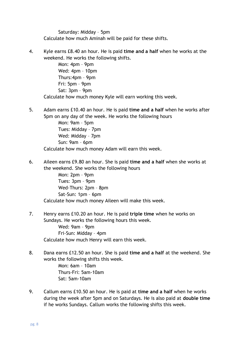Saturday: Midday – 5pm Calculate how much Aminah will be paid for these shifts.

4. Kyle earns £8.40 an hour. He is paid **time and a half** when he works at the weekend. He works the following shifts.

Mon: 4pm – 9pm Wed: 4pm – 10pm Thurs:4pm – 9pm Fri: 5pm – 9pm Sat: 3pm – 9pm Calculate how much money Kyle will earn working this week.

5. Adam earns £10.40 an hour. He is paid **time and a half** when he works after 5pm on any day of the week. He works the following hours

Mon: 9am – 5pm Tues: Midday – 7pm Wed: Midday – 7pm Sun: 9am – 6pm Calculate how much money Adam will earn this week.

6. Aileen earns £9.80 an hour. She is paid **time and a half** when she works at the weekend. She works the following hours

Mon: 2pm – 9pm Tues: 3pm – 9pm Wed-Thurs: 2pm – 8pm Sat-Sun: 1pm – 6pm Calculate how much money Aileen will make this week.

- 7. Henry earns £10.20 an hour. He is paid **triple time** when he works on Sundays. He works the following hours this week. Wed: 9am – 9pm Fri-Sun: Midday – 4pm Calculate how much Henry will earn this week.
- 8. Dana earns £12.50 an hour. She is paid **time and a half** at the weekend. She works the following shifts this week.

Mon: 6am – 10am Thurs-Fri: 5am-10am Sat: 5am-10am

9. Callum earns £10.50 an hour. He is paid at **time and a half** when he works during the week after 5pm and on Saturdays. He is also paid at **double time** if he works Sundays. Callum works the following shifts this week.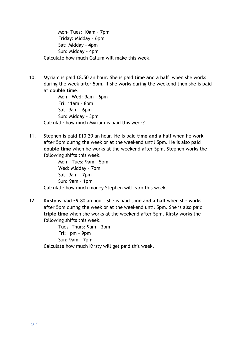Mon- Tues: 10am – 7pm Friday: Midday – 6pm Sat: Midday – 4pm Sun: Midday – 4pm Calculate how much Callum will make this week.

10. Myriam is paid £8.50 an hour. She is paid **time and a half** when she works during the week after 5pm. If she works during the weekend then she is paid at **double time**.

Mon – Wed: 9am – 6pm Fri: 11am – 8pm Sat: 9am – 6pm Sun: Midday – 3pm Calculate how much Myriam is paid this week?

11. Stephen is paid £10.20 an hour. He is paid **time and a half** when he work after 5pm during the week or at the weekend until 5pm. He is also paid **double time** when he works at the weekend after 5pm. Stephen works the following shifts this week.

Mon – Tues: 9am – 5pm Wed: Midday – 7pm Sat: 9am – 7pm Sun: 9am – 1pm Calculate how much money Stephen will earn this week.

12. Kirsty is paid £9.80 an hour. She is paid **time and a half** when she works after 5pm during the week or at the weekend until 5pm. She is also paid **triple time** when she works at the weekend after 5pm. Kirsty works the following shifts this week.

Tues- Thurs: 9am – 3pm Fri: 1pm – 9pm Sun: 9am – 7pm Calculate how much Kirsty will get paid this week.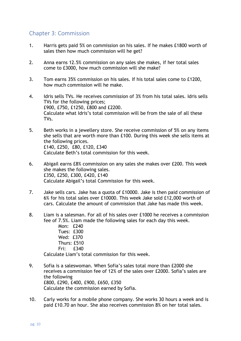## <span id="page-8-0"></span>Chapter 3: Commission

- 1. Harris gets paid 5% on commission on his sales. If he makes £1800 worth of sales then how much commission will he get?
- 2. Anna earns 12.5% commission on any sales she makes, if her total sales come to £3000, how much commission will she make?
- 3. Tom earns 35% commission on his sales. If his total sales come to £1200, how much commission will he make.
- 4. Idris sells TVs. He receives commission of 3% from his total sales. Idris sells TVs for the following prices; £900, £750, £1250, £800 and £2200. Calculate what Idris's total commission will be from the sale of all these TVs.
- 5. Beth works in a jewellery store. She receive commission of 5% on any items she sells that are worth more than £100. During this week she sells items at the following prices. £140, £250, £80, £120, £340 Calculate Beth's total commission for this week.
- 6. Abigail earns £8% commission on any sales she makes over £200. This week she makes the following sales. £350, £250, £300, £420, £140 Calculate Abigail's total Commission for this week.
- 7. Jake sells cars. Jake has a quota of £10000. Jake is then paid commission of 6% for his total sales over £10000. This week Jake sold £12,000 worth of cars. Calculate the amount of commission that Jake has made this week.
- 8. Liam is a salesman. For all of his sales over £1000 he receives a commission fee of 7.5%. Liam made the following sales for each day this week.
	- Mon: £240 Tues: £300 Wed: £370 Thurs: £510 Fri: £340

Calculate Liam's total commission for this week.

- 9. Sofia is a saleswoman. When Sofia's sales total more than £2000 she receives a commission fee of 12% of the sales over £2000. Sofia's sales are the following £800, £290, £400, £900, £650, £350 Calculate the commission earned by Sofia.
- 10. Carly works for a mobile phone company. She works 30 hours a week and is paid £10.70 an hour. She also receives commission 8% on her total sales.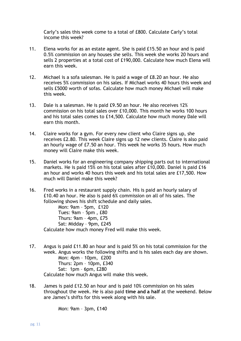Carly's sales this week come to a total of £800. Calculate Carly's total income this week?

- 11. Elena works for as an estate agent. She is paid £15.50 an hour and is paid 0.5% commission on any houses she sells. This week she works 20 hours and sells 2 properties at a total cost of £190,000. Calculate how much Elena will earn this week.
- 12. Michael is a sofa salesman. He is paid a wage of £8.20 an hour. He also receives 5% commission on his sales. If Michael works 40 hours this week and sells £5000 worth of sofas. Calculate how much money Michael will make this week.
- 13. Dale is a salesman. He is paid £9.50 an hour. He also receives 12% commission on his total sales over £10,000. This month he works 100 hours and his total sales comes to £14,500. Calculate how much money Dale will earn this month.
- 14. Claire works for a gym. For every new client who Claire signs up, she receives £2.80. This week Claire signs up 12 new clients. Claire is also paid an hourly wage of £7.50 an hour. This week he works 35 hours. How much money will Claire make this week.
- 15. Daniel works for an engineering company shipping parts out to international markets. He is paid 15% on his total sales after £10,000. Daniel is paid £16 an hour and works 40 hours this week and his total sales are £17,500. How much will Daniel make this week?
- 16. Fred works in a restaurant supply chain. His is paid an hourly salary of £10.40 an hour. He also is paid 6% commission on all of his sales. The following shows his shift schedule and daily sales.

Mon: 9am – 5pm, £120 Tues: 9am – 5pm , £80 Thurs: 9am – 4pm, £75 Sat: Midday – 9pm, £245 Calculate how much money Fred will make this week.

- 17. Angus is paid £11.80 an hour and is paid 5% on his total commission for the week. Angus works the following shifts and is his sales each day are shown. Mon: 4pm – 10pm, £200 Thurs: 2pm – 10pm, £340 Sat: 1pm – 6pm, £280 Calculate how much Angus will make this week.
- 18. James is paid £12.50 an hour and is paid 10% commission on his sales throughout the week. He is also paid **time and a half** at the weekend. Below are James's shifts for this week along with his sale.

Mon: 9am – 3pm, £140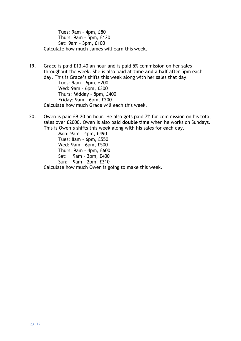Tues: 9am – 4pm, £80 Thurs: 9am – 5pm, £120 Sat: 9am – 3pm, £100 Calculate how much James will earn this week.

- 19. Grace is paid £13.40 an hour and is paid 5% commission on her sales throughout the week. She is also paid at **time and a half** after 5pm each day. This is Grace's shifts this week along with her sales that day. Tues: 9am – 6pm, £200 Wed: 9am – 6pm, £300 Thurs: Midday – 8pm, £400 Friday: 9am – 6pm, £200 Calculate how much Grace will each this week.
- 20. Owen is paid £9.20 an hour. He also gets paid 7% for commission on his total sales over £2000. Owen is also paid **double time** when he works on Sundays. This is Owen's shifts this week along with his sales for each day.

Mon: 9am – 4pm, £490 Tues: 8am – 6pm, £550 Wed: 9am – 6pm, £500 Thurs: 9am – 4pm, £600 Sat: 9am – 3pm, £400 Sun: 9am – 2pm, £310

Calculate how much Owen is going to make this week.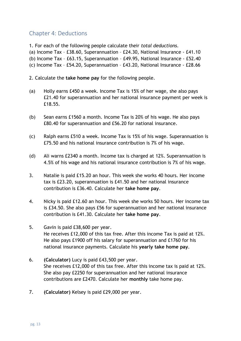## <span id="page-11-0"></span>Chapter 4: Deductions

1. For each of the following people calculate their *total deductions*.

(a) Income Tax – £38.60, Superannuation – £24.30, National Insurance - £41.10

(b) Income Tax – £63.15, Superannuation – £49.95, National Insurance - £52.40

(c) Income Tax – £54.20, Superannuation – £43.20, National Insurance - £28.66

2. Calculate the **take home pay** for the following people.

- (a) Holly earns £450 a week. Income Tax is 15% of her wage, she also pays £21.40 for superannuation and her national insurance payment per week is £18.55.
- (b) Sean earns £1560 a month. Income Tax is 20% of his wage. He also pays £80.40 for superannuation and £56.20 for national insurance.
- (c) Ralph earns £510 a week. Income Tax is 15% of his wage. Superannuation is £75.50 and his national insurance contribution is 7% of his wage.
- (d) Ali warns £2340 a month. Income tax is charged at 12%. Superannuation is 4.5% of his wage and his national insurance contribution is 7% of his wage.
- 3. Natalie is paid £15.20 an hour. This week she works 40 hours. Her income tax is £23.20, superannuation is £41.50 and her national insurance contribution is £36.40. Calculate her **take home pay**.
- 4. Nicky is paid £12.60 an hour. This week she works 50 hours. Her income tax is £34.50. She also pays £56 for superannuation and her national insurance contribution is £41.30. Calculate her **take home pay**.
- 5. Gavin is paid £38,600 per year. He receives £12,000 of this tax free. After this income Tax is paid at 12%. He also pays £1900 off his salary for superannuation and £1760 for his national insurance payments. Calculate his **yearly take home pay**.
- 6. **(Calculator)** Lucy is paid £43,500 per year. She receives £12,000 of this tax free. After this income tax is paid at 12%. She also pay £2250 for superannuation and her national insurance contributions are £2470. Calculate her **monthly** take home pay.
- 7. **(Calculator)** Kelsey is paid £29,000 per year.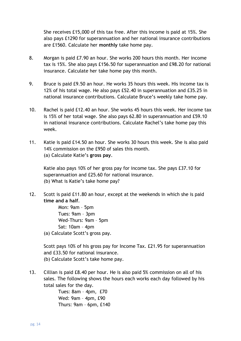She receives £15,000 of this tax free. After this income is paid at 15%. She also pays £1290 for superannuation and her national insurance contributions are £1560. Calculate her **monthly** take home pay.

- 8. Morgan is paid £7.90 an hour. She works 200 hours this month. Her income tax is 15%. She also pays £156.50 for superannuation and £98.20 for national insurance. Calculate her take home pay this month.
- 9. Bruce is paid £9.50 an hour. He works 35 hours this week. His income tax is 12% of his total wage. He also pays £52.40 in superannuation and £35.25 in national insurance contributions. Calculate Bruce's weekly take home pay.
- 10. Rachel is paid £12.40 an hour. She works 45 hours this week. Her income tax is 15% of her total wage. She also pays 62.80 in superannuation and £59.10 in national insurance contributions. Calculate Rachel's take home pay this week.
- 11. Katie is paid £14.50 an hour. She works 30 hours this week. She is also paid 14% commission on the £950 of sales this month. (a) Calculate Katie's **gross pay**.

Katie also pays 10% of her gross pay for income tax. She pays £37.10 for superannuation and £25.60 for national insurance. (b) What is Katie's take home pay?

12. Scott is paid £11.80 an hour, except at the weekends in which she is paid **time and a half**.

> Mon: 9am – 5pm Tues: 9am – 3pm Wed-Thurs: 9am – 5pm Sat: 10am – 4pm

(a) Calculate Scott's gross pay.

Scott pays 10% of his gross pay for Income Tax. £21.95 for superannuation and £33.50 for national insurance. (b) Calculate Scott's take home pay.

13. Cillian is paid £8.40 per hour. He is also paid 5% commission on all of his sales. The following shows the hours each works each day followed by his total sales for the day.

Tues: 8am – 4pm, £70 Wed: 9am – 4pm, £90 Thurs: 9am – 6pm, £140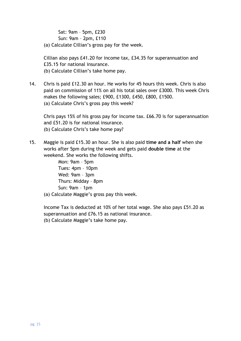Sat: 9am – 5pm, £230 Sun: 9am – 2pm, £110

(a) Calculate Cillian's gross pay for the week.

Cillian also pays £41.20 for income tax, £34.35 for superannuation and £35.15 for national insurance. (b) Calculate Cillian's take home pay.

14. Chris is paid £12.30 an hour. He works for 45 hours this week. Chris is also paid on commission of 11% on all his total sales over £3000. This week Chris makes the following sales; £900, £1300, £450, £800, £1500. (a) Calculate Chris's gross pay this week?

Chris pays 15% of his gross pay for income tax. £66.70 is for superannuation and £51.20 is for national insurance. (b) Calculate Chris's take home pay?

15. Maggie is paid £15.30 an hour. She is also paid **time and a half** when she works after 5pm during the week and gets paid **double time** at the weekend. She works the following shifts.

Mon: 9am – 5pm Tues: 4pm – 10pm Wed: 9am – 3pm Thurs: Midday – 8pm Sun: 9am – 1pm (a) Calculate Maggie's gross pay this week.

Income Tax is deducted at 10% of her total wage. She also pays £51.20 as superannuation and £76.15 as national insurance. (b) Calculate Maggie's take home pay.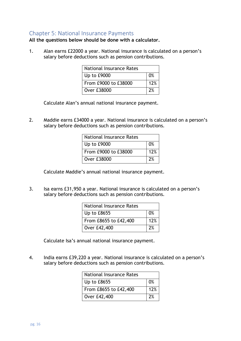#### <span id="page-14-0"></span>Chapter 5: National Insurance Payments

#### **All the questions below should be done with a calculator.**

1. Alan earns £22000 a year. National insurance is calculated on a person's salary before deductions such as pension contributions.

| <b>National Insurance Rates</b> |     |
|---------------------------------|-----|
| Up to £9000                     | በ%  |
| From £9000 to £38000            | 12% |
| Over £38000                     |     |

Calculate Alan's annual national insurance payment.

2. Maddie earns £34000 a year. National insurance is calculated on a person's salary before deductions such as pension contributions.

| <b>National Insurance Rates</b> |     |
|---------------------------------|-----|
| Up to £9000                     | 0%  |
| From £9000 to £38000            | 12% |
| Over £38000                     | 7%  |

Calculate Maddie's annual national insurance payment.

3. Isa earns £31,950 a year. National insurance is calculated on a person's salary before deductions such as pension contributions.

| <b>National Insurance Rates</b> |     |
|---------------------------------|-----|
| Up to £8655                     | 0%  |
| From £8655 to £42,400           | 12% |
| Over £42,400                    | 2%  |

Calculate Isa's annual national insurance payment.

4. India earns £39,220 a year. National insurance is calculated on a person's salary before deductions such as pension contributions.

| <b>National Insurance Rates</b> |     |
|---------------------------------|-----|
| Up to £8655                     | 0%  |
| From £8655 to £42,400           | 12% |
| Over £42,400                    | 2%  |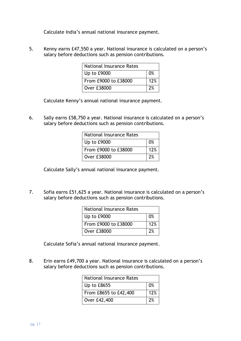Calculate India's annual national insurance payment.

5. Kenny earns £47,550 a year. National insurance is calculated on a person's salary before deductions such as pension contributions.

| <b>National Insurance Rates</b> |     |
|---------------------------------|-----|
| $ $ Up to £9000                 | በ%  |
| From £9000 to £38000            | 12% |
| Over £38000                     | 2%  |

Calculate Kenny's annual national insurance payment.

6. Sally earns £58,750 a year. National insurance is calculated on a person's salary before deductions such as pension contributions.

| <b>National Insurance Rates</b> |                |
|---------------------------------|----------------|
| Up to £9000                     | 0 <sup>%</sup> |
| From £9000 to £38000            | 12%            |
| Over £38000                     | 2%             |

Calculate Sally's annual national insurance payment.

7. Sofia earns £51,625 a year. National insurance is calculated on a person's salary before deductions such as pension contributions.

| <b>National Insurance Rates</b> |     |
|---------------------------------|-----|
| Up to £9000                     | በ%  |
| From £9000 to £38000            | 12% |
| Over £38000                     | 7%  |

Calculate Sofia's annual national insurance payment.

8. Erin earns £49,700 a year. National insurance is calculated on a person's salary before deductions such as pension contributions.

| <b>National Insurance Rates</b> |     |
|---------------------------------|-----|
| Up to £8655                     | 0%  |
| From £8655 to £42,400           | 12% |
| Over £42,400                    | 2%  |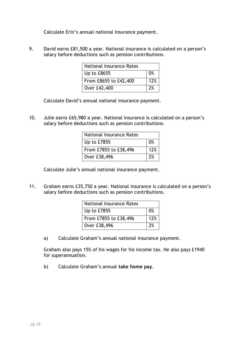Calculate Erin's annual national insurance payment.

9. David earns £81,500 a year. National insurance is calculated on a person's salary before deductions such as pension contributions.

| <b>National Insurance Rates</b> |     |
|---------------------------------|-----|
| Up to $£8655$                   | 0%  |
| From £8655 to £42,400           | 12% |
| Over £42,400                    | 2%  |

Calculate David's annual national insurance payment.

10. Julie earns £65,980 a year. National insurance is calculated on a person's salary before deductions such as pension contributions.

| <b>National Insurance Rates</b> |     |
|---------------------------------|-----|
| Up to £7855                     | 0%  |
| From £7855 to £38,496           | 12% |
| Over £38,496                    | 2%  |

Calculate Julie's annual national insurance payment.

11. Graham earns £35,750 a year. National insurance is calculated on a person's salary before deductions such as pension contributions.

| <b>National Insurance Rates</b> |     |
|---------------------------------|-----|
| Up to £7855                     | 0%  |
| From £7855 to £38,496           | 12% |
| Over £38,496                    | 2%  |

a) Calculate Graham's annual national insurance payment.

Graham also pays 15% of his wages for his income tax. He also pays £1940 for superannuation.

b) Calculate Graham's annual **take home pay**.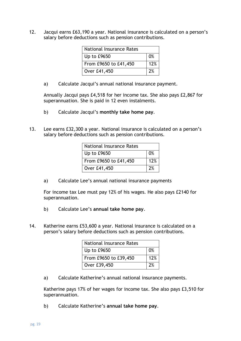12. Jacqui earns £63,190 a year. National insurance is calculated on a person's salary before deductions such as pension contributions.

| <b>National Insurance Rates</b> |                |
|---------------------------------|----------------|
| Up to £9650                     | 0 <sup>%</sup> |
| From £9650 to £41,450           | 12%            |
| Over £41,450                    | 7%             |

a) Calculate Jacqui's annual national insurance payment.

Annually Jacqui pays £4,518 for her income tax. She also pays £2,867 for superannuation. She is paid in 12 even instalments.

- b) Calculate Jacqui's **monthly take home pay**.
- 13. Lee earns £32,300 a year. National insurance is calculated on a person's salary before deductions such as pension contributions.

| <b>National Insurance Rates</b> |     |
|---------------------------------|-----|
| Up to £9650                     | 0%  |
| From £9650 to £41,450           | 12% |
| Over £41,450                    | 2%  |

a) Calculate Lee's annual national insurance payments

For income tax Lee must pay 12% of his wages. He also pays £2140 for superannuation.

- b) Calculate Lee's **annual take home pay**.
- 14. Katherine earns £53,600 a year. National insurance is calculated on a person's salary before deductions such as pension contributions.

| <b>National Insurance Rates</b> |     |  |
|---------------------------------|-----|--|
| Up to £9650                     | 0%  |  |
| From £9650 to £39,450           | 12% |  |
| Over $£39,450$                  | 2%  |  |

a) Calculate Katherine's annual national insurance payments.

Katherine pays 17% of her wages for income tax. She also pays £3,510 for superannuation.

b) Calculate Katherine's **annual take home pay**.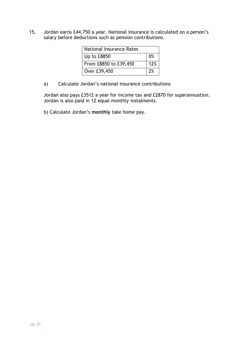15. Jordan earns £44,750 a year. National insurance is calculated on a person's salary before deductions such as pension contributions.

| <b>National Insurance Rates</b> |                |
|---------------------------------|----------------|
| Up to £8850                     | 0 <sup>%</sup> |
| From £8850 to £39,450           | 12%            |
| Over £39,450                    | 7%             |

a) Calculate Jordan's national insurance contributions

Jordan also pays £3512 a year for income tax and £2870 for superannuation. Jordan is also paid in 12 equal monthly instalments.

b) Calculate Jordan's **monthly** take home pay.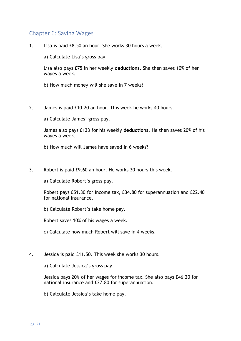## <span id="page-19-0"></span>Chapter 6: Saving Wages

1. Lisa is paid £8.50 an hour. She works 30 hours a week.

a) Calculate Lisa's gross pay.

Lisa also pays £75 in her weekly **deductions**. She then saves 10% of her wages a week.

b) How much money will she save in 7 weeks?

2. James is paid £10.20 an hour. This week he works 40 hours.

a) Calculate James' gross pay.

James also pays £133 for his weekly **deductions**. He then saves 20% of his wages a week.

- b) How much will James have saved in 6 weeks?
- 3. Robert is paid £9.60 an hour. He works 30 hours this week.

a) Calculate Robert's gross pay.

Robert pays £51.30 for income tax, £34.80 for superannuation and £22.40 for national insurance.

b) Calculate Robert's take home pay.

Robert saves 10% of his wages a week.

c) Calculate how much Robert will save in 4 weeks.

4. Jessica is paid £11.50. This week she works 30 hours.

a) Calculate Jessica's gross pay.

Jessica pays 20% of her wages for income tax. She also pays £46.20 for national insurance and £27.80 for superannuation.

b) Calculate Jessica's take home pay.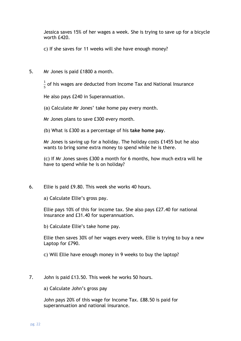Jessica saves 15% of her wages a week. She is trying to save up for a bicycle worth £420.

c) If she saves for 11 weeks will she have enough money?

5. Mr Jones is paid £1800 a month.

1  $\frac{1}{5}$  of his wages are deducted from Income Tax and National Insurance

He also pays £240 in Superannuation.

(a) Calculate Mr Jones' take home pay every month.

Mr Jones plans to save £300 every month.

(b) What is £300 as a percentage of his **take home pay**.

Mr Jones is saving up for a holiday. The holiday costs £1455 but he also wants to bring some extra money to spend while he is there.

(c) If Mr Jones saves £300 a month for 6 months, how much extra will he have to spend while he is on holiday?

6. Ellie is paid £9.80. This week she works 40 hours.

a) Calculate Ellie's gross pay.

Ellie pays 10% of this for income tax. She also pays £27.40 for national insurance and £31.40 for superannuation.

b) Calculate Ellie's take home pay.

Ellie then saves 30% of her wages every week. Ellie is trying to buy a new Laptop for £790.

c) Will Ellie have enough money in 9 weeks to buy the laptop?

7. John is paid £13.50. This week he works 50 hours.

a) Calculate John's gross pay

John pays 20% of this wage for Income Tax. £88.50 is paid for superannuation and national insurance.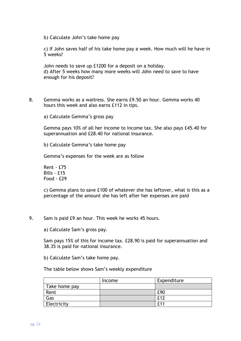b) Calculate John's take home pay

c) If John saves half of his take home pay a week. How much will he have in 5 weeks?

John needs to save up £1200 for a deposit on a holiday. d) After 5 weeks how many more weeks will John need to save to have enough for his deposit?

8. Gemma works as a waitress. She earns £9.50 an hour. Gemma works 40 hours this week and also earns £112 in tips.

a) Calculate Gemma's gross pay

Gemma pays 10% of all her income to income tax. She also pays £45.40 for superannuation and £28.40 for national insurance.

b) Calculate Gemma's take home pay

Gemma's expenses for the week are as follow

Rent - £75 Bills - £15 Food - £29

c) Gemma plans to save £100 of whatever she has leftover, what is this as a percentage of the amount she has left after her expenses are paid

9. Sam is paid £9 an hour. This week he works 45 hours.

a) Calculate Sam's gross pay.

Sam pays 15% of this for income tax. £28.90 is paid for superannuation and 38.35 is paid for national insurance.

b) Calculate Sam's take home pay.

The table below shows Sam's weekly expenditure

|               | Income | Expenditure |
|---------------|--------|-------------|
| Take home pay |        |             |
| Rent          |        | £90         |
| Gas           |        | £12         |
| Electricity   |        | f11         |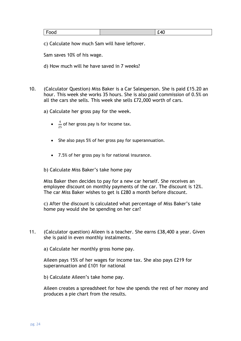| $\overline{\phantom{a}}$<br>ood | <u>.</u><br>___ | 40 |
|---------------------------------|-----------------|----|
|---------------------------------|-----------------|----|

c) Calculate how much Sam will have leftover.

Sam saves 10% of his wage.

d) How much will he have saved in 7 weeks?

- 10. (Calculator Question) Miss Baker is a Car Salesperson. She is paid £15.20 an hour. This week she works 35 hours. She is also paid commission of 0.5% on all the cars she sells. This week she sells £72,000 worth of cars.
	- a) Calculate her gross pay for the week.
		- $\bullet$   $\frac{4}{3!}$  $\frac{4}{25}$  of her gross pay is for income tax.
		- She also pays 5% of her gross pay for superannuation.
		- 7.5% of her gross pay is for national insurance.

b) Calculate Miss Baker's take home pay

Miss Baker then decides to pay for a new car herself. She receives an employee discount on monthly payments of the car. The discount is 12%. The car Miss Baker wishes to get is £280 a month before discount.

c) After the discount is calculated what percentage of Miss Baker's take home pay would she be spending on her car?

11. (Calculator question) Aileen is a teacher. She earns £38,400 a year. Given she is paid in even monthly instalments.

a) Calculate her monthly gross home pay.

Aileen pays 15% of her wages for income tax. She also pays £219 for superannuation and £101 for national

b) Calculate Aileen's take home pay.

Aileen creates a spreadsheet for how she spends the rest of her money and produces a pie chart from the results.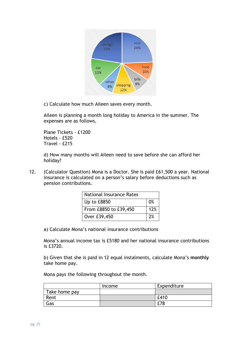

c) Calculate how much Aileen saves every month.

Aileen is planning a month long holiday to America in the summer. The expenses are as follows,

Plane Tickets - £1200 Hotels - £520 Travel - £215

d) How many months will Aileen need to save before she can afford her holiday?

12. (Calculator Question) Mona is a Doctor. She is paid £61,500 a year. National insurance is calculated on a person's salary before deductions such as pension contributions.

| <b>National Insurance Rates</b> |     |  |
|---------------------------------|-----|--|
| Up to £8850                     | 0%  |  |
| From £8850 to £39,450           | 12% |  |
| Over £39,450                    | 2%  |  |

a) Calculate Mona's national insurance contributions

Mona's annual income tax is £5180 and her national insurance contributions is £3720.

b) Given that she is paid in 12 equal instalments, calculate Mona's **monthly**  take home pay.

Mona pays the following throughout the month.

|               | Income | Expenditure |
|---------------|--------|-------------|
| Take home pay |        |             |
| Rent          |        | £410        |
| Gas           |        |             |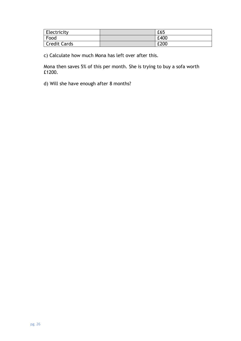| Electricity         | £65  |
|---------------------|------|
| Food                | £400 |
| <b>Credit Cards</b> | £200 |

c) Calculate how much Mona has left over after this.

Mona then saves 5% of this per month. She is trying to buy a sofa worth £1200.

d) Will she have enough after 8 months?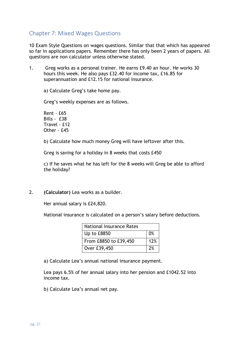## <span id="page-25-0"></span>Chapter 7: Mixed Wages Questions

10 Exam Style Questions on wages questions. Similar that that which has appeared so far in applications papers. Remember there has only been 2 years of papers. All questions are non calculator unless otherwise stated.

1. Greg works as a personal trainer. He earns £9.40 an hour. He works 30 hours this week. He also pays £32.40 for income tax, £16.85 for superannuation and £12.15 for national insurance.

a) Calculate Greg's take home pay.

Greg's weekly expenses are as follows.

Rent - £65 Bills - £38 Travel - £12 Other - £45

b) Calculate how much money Greg will have leftover after this.

Greg is saving for a holiday in 8 weeks that costs £450

c) If he saves what he has left for the 8 weeks will Greg be able to afford the holiday?

2. **(Calculator)** Lea works as a builder.

Her annual salary is £24,820.

National insurance is calculated on a person's salary before deductions.

| <b>National Insurance Rates</b> |     |  |
|---------------------------------|-----|--|
| Up to £8850                     | 0%  |  |
| From £8850 to £39,450           | 12% |  |
| Over £39,450                    | 2%  |  |

a) Calculate Lea's annual national insurance payment.

Lea pays 6.5% of her annual salary into her pension and £1042.52 into income tax.

b) Calculate Lea's annual net pay.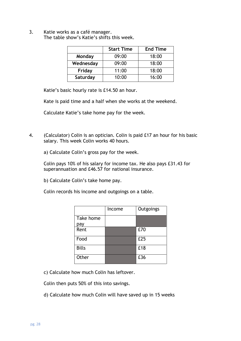3. Katie works as a café manager. The table show's Katie's shifts this week.

|           | <b>Start Time</b> | <b>End Time</b> |
|-----------|-------------------|-----------------|
| Monday    | 09:00             | 18:00           |
| Wednesday | 09:00             | 18:00           |
| Friday    | 11:00             | 18:00           |
| Saturday  | 10:00             | 16:00           |

Katie's basic hourly rate is £14.50 an hour.

Kate is paid time and a half when she works at the weekend.

Calculate Katie's take home pay for the week.

4. (Calculator) Colin is an optician. Colin is paid £17 an hour for his basic salary. This week Colin works 40 hours.

a) Calculate Colin's gross pay for the week.

Colin pays 10% of his salary for income tax. He also pays £31.43 for superannuation and £46.57 for national insurance.

b) Calculate Colin's take home pay.

Colin records his income and outgoings on a table.

|              | Income | Outgoings |
|--------------|--------|-----------|
| Take home    |        |           |
| pay          |        |           |
| Rent         |        | £70       |
| Food         |        | £25       |
| <b>Bills</b> |        | £18       |
| Other        |        | £36       |

c) Calculate how much Colin has leftover.

Colin then puts 50% of this into savings.

d) Calculate how much Colin will have saved up in 15 weeks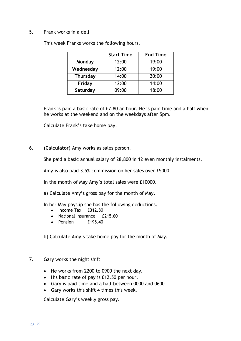#### 5. Frank works in a deli

|        | <b>Start Time</b> | <b>End Time</b> |
|--------|-------------------|-----------------|
| Monday | 12:00             | 19:00           |

**Wednesday** 12:00 19:00 **Thursday** 14:00 20:00 **Friday** 12:00 14:00 **Saturday** 18:00

This week Franks works the following hours.

Frank is paid a basic rate of £7.80 an hour. He is paid time and a half when he works at the weekend and on the weekdays after 5pm.

Calculate Frank's take home pay.

#### 6. **(Calculator)** Amy works as sales person.

She paid a basic annual salary of 28,800 in 12 even monthly instalments.

Amy is also paid 3.5% commission on her sales over £5000.

In the month of May Amy's total sales were £10000.

a) Calculate Amy's gross pay for the month of May.

In her May payslip she has the following deductions.

- Income Tax £312.80
- National Insurance £215.60
- Pension **£195.40**

b) Calculate Amy's take home pay for the month of May.

- 7. Gary works the night shift
	- He works from 2200 to 0900 the next day.
	- His basic rate of pay is £12.50 per hour.
	- Gary is paid time and a half between 0000 and 0600
	- Gary works this shift 4 times this week.

Calculate Gary's weekly gross pay.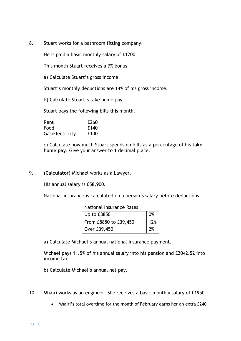8. Stuart works for a bathroom fitting company.

He is paid a basic monthly salary of £1200

This month Stuart receives a 7% bonus.

a) Calculate Stuart's gross income

Stuart's monthly deductions are 14% of his gross income.

b) Calculate Stuart's take home pay

Stuart pays the following bills this month.

| Rent            | £260 |
|-----------------|------|
| Food            | £140 |
| Gas\Electricity | £100 |

c) Calculate how much Stuart spends on bills as a percentage of his **take home pay**. Give your answer to 1 decimal place.

9. **(Calculator)** Michael works as a Lawyer.

His annual salary is £58,900.

National insurance is calculated on a person's salary before deductions.

| <b>National Insurance Rates</b> |            |
|---------------------------------|------------|
| Up to £8850                     | $\Omega\%$ |
| From £8850 to £39,450           | 12%        |
| Over £39,450                    | 2%         |

a) Calculate Michael's annual national insurance payment.

Michael pays 11.5% of his annual salary into his pension and £2042.52 into income tax.

b) Calculate Michael's annual net pay.

- 10. Mhairi works as an engineer. She receives a basic monthly salary of £1950
	- Mhairi's total overtime for the month of February earns her an extra £240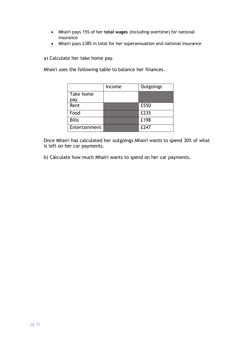- Mhairi pays 15% of her **total wages** (including overtime) for national insurance
- Mhairi pays £385 in total for her superannuation and national insurance

a) Calculate her take home pay.

Mhairi uses the following table to balance her finances.

|               | Income | Outgoings |
|---------------|--------|-----------|
| Take home     |        |           |
| pay           |        |           |
| Rent          |        | £550      |
| Food          |        | £235      |
| <b>Bills</b>  |        | £198      |
| Entertainment |        | £247      |

Once Mhairi has calculated her outgoings Mhairi wants to spend 30% of what is left on her car payments.

b) Calculate how much Mhairi wants to spend on her car payments.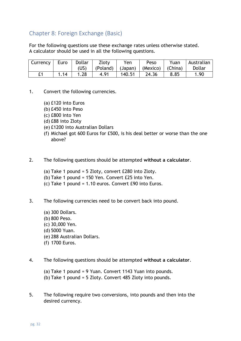## <span id="page-30-0"></span>Chapter 8: Foreign Exchange (Basic)

For the following questions use these exchange rates unless otherwise stated. A calculator should be used in all the following questions.

| Currency | Euro | Dollar | Zloty | Yen    | Peso                                                      | Yuan | Australian |
|----------|------|--------|-------|--------|-----------------------------------------------------------|------|------------|
|          |      | (US)   |       |        | $(Poland)$ $ $ $(Japan)$ $ $ $(Mexico)$ $ $ $(China)$ $ $ |      | Dollar     |
|          | 1.14 | 1.28   | 4.91  | 140.51 | 24.36                                                     | 8.85 | 1.90       |

- 1. Convert the following currencies.
	- (a) £120 into Euros
	- (b) £450 into Peso
	- (c) £800 into Yen
	- (d) £88 into Zloty
	- (e) £1200 into Australian Dollars
	- (f) Michael got 600 Euros for £500, is his deal better or worse than the one above?
- 2. The following questions should be attempted **without a calculator**.
	- (a) Take 1 pound = 5 Zloty, convert £280 into Zloty.
	- (b) Take 1 pound = 150 Yen. Convert £25 into Yen.
	- (c) Take 1 pound = 1.10 euros. Convert £90 into Euros.
- 3. The following currencies need to be convert back into pound.
	- (a) 300 Dollars. (b) 800 Peso. (c) 30,000 Yen. (d) 5000 Yuan. (e) 288 Australian Dollars. (f) 1700 Euros.
- 4. The following questions should be attempted **without a calculator**.
	- (a) Take 1 pound = 9 Yuan. Convert 1143 Yuan into pounds.
	- (b) Take 1 pound = 5 Zloty. Convert 485 Zloty into pounds.
- 5. The following require two conversions, into pounds and then into the desired currency.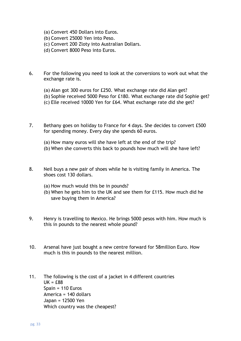- (a) Convert 450 Dollars into Euros.
- (b) Convert 25000 Yen into Peso.
- (c) Convert 200 Zloty into Australian Dollars.
- (d) Convert 8000 Peso into Euros.
- 6. For the following you need to look at the conversions to work out what the exchange rate is.
	- (a) Alan got 300 euros for £250. What exchange rate did Alan get?
	- (b) Sophie received 5000 Peso for £180. What exchange rate did Sophie get?
	- (c) Elle received 10000 Yen for £64. What exchange rate did she get?
- 7. Bethany goes on holiday to France for 4 days. She decides to convert £500 for spending money. Every day she spends 60 euros.
	- (a) How many euros will she have left at the end of the trip?
	- (b) When she converts this back to pounds how much will she have left?
- 8. Neil buys a new pair of shoes while he is visiting family in America. The shoes cost 130 dollars.
	- (a) How much would this be in pounds?
	- (b) When he gets him to the UK and see them for £115. How much did he save buying them in America?
- 9. Henry is travelling to Mexico. He brings 5000 pesos with him. How much is this in pounds to the nearest whole pound?
- 10. Arsenal have just bought a new centre forward for 58million Euro. How much is this in pounds to the nearest million.
- 11. The following is the cost of a jacket in 4 different countries  $UK = f.88$ Spain = 110 Euros America = 140 dollars Japan = 12500 Yen Which country was the cheapest?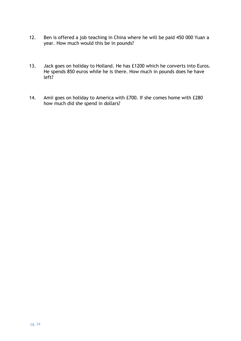- 12. Ben is offered a job teaching in China where he will be paid 450 000 Yuan a year. How much would this be in pounds?
- 13. Jack goes on holiday to Holland. He has £1200 which he converts into Euros. He spends 850 euros while he is there. How much in pounds does he have left?
- 14. Amii goes on holiday to America with £700. If she comes home with £280 how much did she spend in dollars?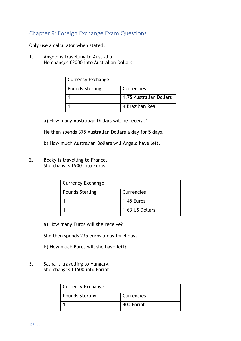## <span id="page-33-0"></span>Chapter 9: Foreign Exchange Exam Questions

Only use a calculator when stated.

1. Angelo is travelling to Australia. He changes £2000 into Australian Dollars.

| <b>Currency Exchange</b> |                         |
|--------------------------|-------------------------|
| <b>Pounds Sterling</b>   | Currencies              |
|                          | 1.75 Australian Dollars |
|                          | 4 Brazilian Real        |

a) How many Australian Dollars will he receive?

He then spends 375 Australian Dollars a day for 5 days.

b) How much Australian Dollars will Angelo have left.

2. Becky is travelling to France. She changes £900 into Euros.

| <b>Currency Exchange</b> |                 |
|--------------------------|-----------------|
| <b>Pounds Sterling</b>   | Currencies      |
|                          | 1.45 Euros      |
|                          | 1.63 US Dollars |

a) How many Euros will she receive?

She then spends 235 euros a day for 4 days.

- b) How much Euros will she have left?
- 3. Sasha is travelling to Hungary. She changes £1500 into Forint.

| Currency Exchange      |            |
|------------------------|------------|
| <b>Pounds Sterling</b> | Currencies |
|                        | 400 Forint |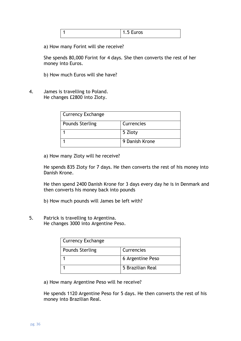|  | $-11600$<br><br>∽<br>$1.3$ LUI US |
|--|-----------------------------------|
|  |                                   |

a) How many Forint will she receive?

She spends 80,000 Forint for 4 days. She then converts the rest of her money into Euros.

- b) How much Euros will she have?
- 4. James is travelling to Poland. He changes £2800 into Zloty.

| <b>Currency Exchange</b> |                |
|--------------------------|----------------|
| <b>Pounds Sterling</b>   | Currencies     |
|                          | 5 Zloty        |
|                          | 9 Danish Krone |

a) How many Zloty will he receive?

He spends 835 Zloty for 7 days. He then converts the rest of his money into Danish Krone.

He then spend 2400 Danish Krone for 3 days every day he is in Denmark and then converts his money back into pounds

- b) How much pounds will James be left with?
- 5. Patrick is travelling to Argentina. He changes 3000 into Argentine Peso.

| <b>Currency Exchange</b> |                  |
|--------------------------|------------------|
| <b>Pounds Sterling</b>   | Currencies       |
|                          | 6 Argentine Peso |
|                          | 5 Brazilian Real |

a) How many Argentine Peso will he receive?

He spends 1120 Argentine Peso for 5 days. He then converts the rest of his money into Brazilian Real.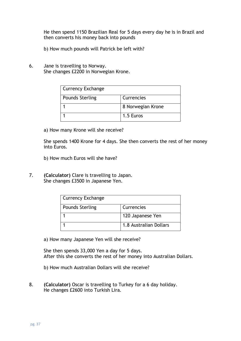He then spend 1150 Brazilian Real for 5 days every day he is in Brazil and then converts his money back into pounds

- b) How much pounds will Patrick be left with?
- 6. Jane is travelling to Norway. She changes £2200 in Norwegian Krone.

| <b>Currency Exchange</b> |                   |
|--------------------------|-------------------|
| <b>Pounds Sterling</b>   | Currencies        |
|                          | 8 Norwegian Krone |
|                          | 1.5 Euros         |

a) How many Krone will she receive?

She spends 1400 Krone for 4 days. She then converts the rest of her money into Euros.

- b) How much Euros will she have?
- 7. **(Calculator)** Clare is travelling to Japan. She changes £3500 in Japanese Yen.

| <b>Currency Exchange</b> |                        |
|--------------------------|------------------------|
| <b>Pounds Sterling</b>   | Currencies             |
|                          | 120 Japanese Yen       |
|                          | 1.8 Australian Dollars |

a) How many Japanese Yen will she receive?

She then spends 33,000 Yen a day for 5 days. After this she converts the rest of her money into Australian Dollars.

- b) How much Australian Dollars will she receive?
- 8. **(Calculator)** Oscar is travelling to Turkey for a 6 day holiday. He changes £2600 into Turkish Lira.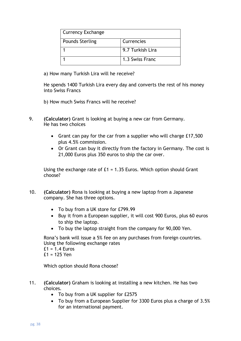| <b>Currency Exchange</b> |                  |
|--------------------------|------------------|
| <b>Pounds Sterling</b>   | Currencies       |
|                          | 9.7 Turkish Lira |
|                          | 1.3 Swiss Franc  |

a) How many Turkish Lira will he receive?

He spends 1400 Turkish Lira every day and converts the rest of his money into Swiss Francs

- b) How much Swiss Francs will he receive?
- 9. **(Calculator)** Grant is looking at buying a new car from Germany. He has two choices
	- Grant can pay for the car from a supplier who will charge £17,500 plus 4.5% commission.
	- Or Grant can buy it directly from the factory in Germany. The cost is 21,000 Euros plus 350 euros to ship the car over.

Using the exchange rate of £1 = 1.35 Euros. Which option should Grant choose?

- 10. **(Calculator)** Rona is looking at buying a new laptop from a Japanese company. She has three options.
	- To buy from a UK store for £799.99
	- Buy it from a European supplier, it will cost 900 Euros, plus 60 euros to ship the laptop.
	- To buy the laptop straight from the company for 90,000 Yen.

Rona's bank will issue a 5% fee on any purchases from foreign countries. Using the following exchange rates

 $£1 = 1.4$  Euros

£1 = 125 Yen

Which option should Rona choose?

- 11. **(Calculator)** Graham is looking at installing a new kitchen. He has two choices.
	- To buy from a UK supplier for £2575
	- To buy from a European Supplier for 3300 Euros plus a charge of 3.5% for an international payment.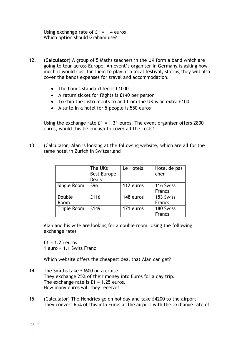Using exchange rate of  $E1 = 1.4$  euros Which option should Graham use?

- 12. **(Calculator)** A group of 5 Maths teachers in the UK form a band which are going to tour across Europe. An event's organiser in Germany is asking how much it would cost for them to play at a local festival, stating they will also cover the bands expenses for travel and accommodation.
	- The bands standard fee is £1000
	- A return ticket for flights is £140 per person
	- To ship the instruments to and from the UK is an extra £100
	- A suite in a hotel for 5 people is 550 euros

Using the exchange rate £1 = 1.31 euros. The event organiser offers 2800 euros, would this be enough to cover all the costs?

13. (Calculator) Alan is looking at the following website, which are all for the same hotel in Zurich in Switzerland

|                    | The UKs<br><b>Best Europe</b><br><b>Deals</b> | Le Hotels | Hotel de pas<br>cher       |
|--------------------|-----------------------------------------------|-----------|----------------------------|
| Single Room        | £96                                           | 112 euros | 116 Swiss<br><b>Francs</b> |
| Double<br>Room     | £116                                          | 148 euros | 153 Swiss<br><b>Francs</b> |
| <b>Triple Room</b> | £149                                          | 171 euros | 180 Swiss<br><b>Francs</b> |

Alan and his wife are looking for a double room. Using the following exchange rates

 $f1 = 1.25$  euros 1 euro = 1.1 Swiss Franc

Which website offers the cheapest deal that Alan can get?

- 14. The Smiths take £3600 on a cruise They exchange 25% of their money into Euros for a day trip. The exchange rate is  $£1 = 1.25$  euros. How many euros will they receive?
- 15. (Calculator) The Hendries go on holiday and take £4200 to the airport They convert 65% of this into Euros at the airport with the exchange rate of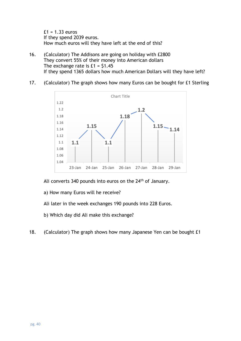$£1 = 1.33$  euros If they spend 2039 euros. How much euros will they have left at the end of this?

- 16. (Calculator) The Addisons are going on holiday with £2800 They convert 55% of their money into American dollars The exchange rate is  $£1 = $1.45$ If they spend 1365 dollars how much American Dollars will they have left?
- 17. (Calculator) The graph shows how many Euros can be bought for £1 Sterling



Ali converts 340 pounds into euros on the 24<sup>th</sup> of January.

- a) How many Euros will he receive?
- Ali later in the week exchanges 190 pounds into 228 Euros.
- b) Which day did Ali make this exchange?
- 18. (Calculator) The graph shows how many Japanese Yen can be bought £1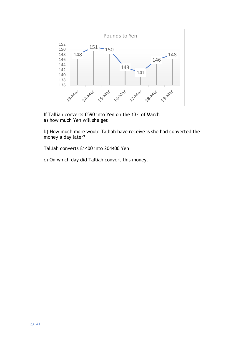

If Talliah converts £590 into Yen on the 13<sup>th</sup> of March a) how much Yen will she get

b) How much more would Talliah have receive is she had converted the money a day later?

Talliah converts £1400 into 204400 Yen

c) On which day did Talliah convert this money.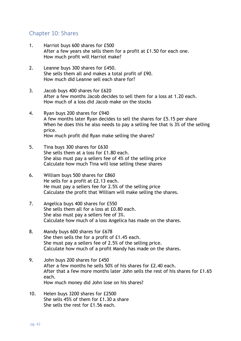#### <span id="page-40-0"></span>Chapter 10: Shares

- 1. Harriot buys 600 shares for £500 After a few years she sells them for a profit at £1.50 for each one. How much profit will Harriot make?
- 2. Leanne buys 300 shares for £450. She sells them all and makes a total profit of £90. How much did Leanne sell each share for?
- 3. Jacob buys 400 shares for £620 After a few months Jacob decides to sell them for a loss at 1.20 each. How much of a loss did Jacob make on the stocks
- 4. Ryan buys 200 shares for £940 A few months later Ryan decides to sell the shares for £5.15 per share When he does this he also needs to pay a selling fee that is 3% of the selling price. How much profit did Ryan make selling the shares?
- 5. Tina buys 300 shares for £630 She sells them at a loss for £1.80 each. She also must pay a sellers fee of 4% of the selling price Calculate how much Tina will lose selling these shares
- 6. William buys 500 shares for £860 He sells for a profit at £2.13 each. He must pay a sellers fee for 2.5% of the selling price Calculate the profit that William will make selling the shares.
- 7. Angelica buys 400 shares for £550 She sells them all for a loss at £0.80 each. She also must pay a sellers fee of 3%. Calculate how much of a loss Angelica has made on the shares.
- 8. Mandy buys 600 shares for £678 She then sells the for a profit of £1.45 each. She must pay a sellers fee of 2.5% of the selling price. Calculate how much of a profit Mandy has made on the shares.
- 9. John buys 200 shares for £450 After a few months he sells 50% of his shares for £2.40 each. After that a few more months later John sells the rest of his shares for £1.65 each. How much money did John lose on his shares?
- 10. Helen buys 3200 shares for £2500 She sells 45% of them for £1.30 a share She sells the rest for £1.56 each.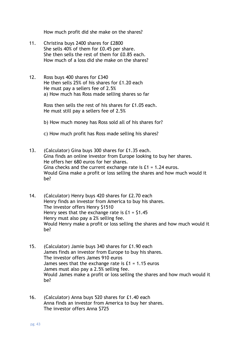How much profit did she make on the shares?

- 11. Christina buys 2400 shares for £2800 She sells 40% of them for £0.45 per share. She then sells the rest of them for £0.85 each. How much of a loss did she make on the shares?
- 12. Ross buys 400 shares for £340 He then sells 25% of his shares for £1.20 each He must pay a sellers fee of 2.5% a) How much has Ross made selling shares so far

Ross then sells the rest of his shares for £1.05 each. He must still pay a sellers fee of 2.5%

b) How much money has Ross sold all of his shares for?

- c) How much profit has Ross made selling his shares?
- 13. (Calculator) Gina buys 300 shares for £1.35 each. Gina finds an online investor from Europe looking to buy her shares. He offers her 680 euros for her shares. Gina checks and the current exchange rate is £1 = 1.24 euros. Would Gina make a profit or loss selling the shares and how much would it be?
- 14. (Calculator) Henry buys 420 shares for £2.70 each Henry finds an investor from America to buy his shares. The investor offers Henry \$1510 Henry sees that the exchange rate is  $£1 = $1.45$ Henry must also pay a 2% selling fee. Would Henry make a profit or loss selling the shares and how much would it be?
- 15. (Calculator) Jamie buys 340 shares for £1.90 each James finds an investor from Europe to buy his shares. The investor offers James 910 euros James sees that the exchange rate is  $£1 = 1.15$  euros James must also pay a 2.5% selling fee. Would James make a profit or loss selling the shares and how much would it be?
- 16. (Calculator) Anna buys 520 shares for £1.40 each Anna finds an investor from America to buy her shares. The investor offers Anna \$725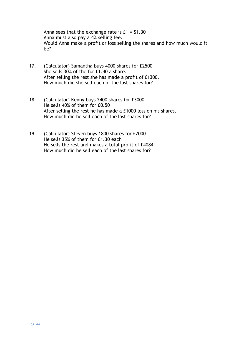Anna sees that the exchange rate is  $£1 = $1.30$ Anna must also pay a 4% selling fee. Would Anna make a profit or loss selling the shares and how much would it be?

- 17. (Calculator) Samantha buys 4000 shares for £2500 She sells 30% of the for £1.40 a share. After selling the rest she has made a profit of £1300. How much did she sell each of the last shares for?
- 18. (Calculator) Kenny buys 2400 shares for £3000 He sells 40% of them for £0.50 After selling the rest he has made a £1000 loss on his shares. How much did he sell each of the last shares for?
- 19. (Calculator) Steven buys 1800 shares for £2000 He sells 35% of them for £1.30 each He sells the rest and makes a total profit of £4084 How much did he sell each of the last shares for?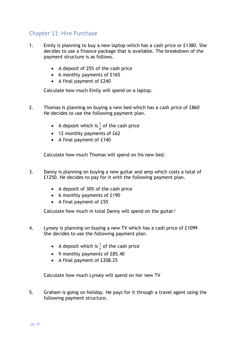## <span id="page-43-0"></span>Chapter 11: Hire Purchase

- 1. Emily is planning to buy a new laptop which has a cash price or £1380. She decides to use a finance package that is available. The breakdown of the payment structure is as follows.
	- A deposit of 25% of the cash price
	- 6 monthly payments of £165
	- A final payment of £240

Calculate how much Emily will spend on a laptop.

- 2. Thomas is planning on buying a new bed which has a cash price of £860 He decides to use the following payment plan.
	- A deposit which is  $\frac{1}{8}$  of the cash price
	- 12 monthly payments of £62
	- A final payment of £140

Calculate how much Thomas will spend on his new bed.

- 3. Danny is planning on buying a new guitar and amp which costs a total of £1250. He decides to pay for it with the following payment plan.
	- A deposit of 30% of the cash price
	- 6 monthly payments of £190
	- A final payment of £55

Calculate how much in total Danny will spend on the guitar/

- 4. Lynsey is planning on buying a new TV which has a cash price of £1099 She decides to use the following payment plan.
	- A deposit which is  $\frac{1}{7}$  of the cash price
	- 9 monthly payments of £85.40
	- A final payment of £208.25

Calculate how much Lynsey will spend on her new TV

5. Graham is going on holiday. He pays for it through a travel agent using the following payment structure.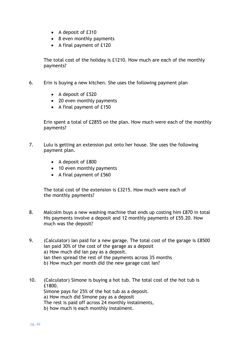- A deposit of £310
- 8 even monthly payments
- A final payment of £120

The total cost of the holiday is £1210. How much are each of the monthly payments?

- 6. Erin is buying a new kitchen. She uses the following payment plan
	- A deposit of £520
	- 20 even monthly payments
	- A final payment of £150

Erin spent a total of £2855 on the plan. How much were each of the monthly payments?

- 7. Lulu is getting an extension put onto her house. She uses the following payment plan.
	- A deposit of £800
	- 10 even monthly payments
	- A final payment of £560

The total cost of the extension is £3215. How much were each of the monthly payments?

- 8. Malcolm buys a new washing machine that ends up costing him £870 in total His payments involve a deposit and 12 monthly payments of £55.20. How much was the deposit?
- 9. (Calculator) Ian paid for a new garage. The total cost of the garage is £8500 Ian paid 30% of the cost of the garage as a deposit a) How much did Ian pay as a deposit. Ian then spread the rest of the payments across 35 months b) How much per month did the new garage cost Ian?
- 10. (Calculator) Simone is buying a hot tub. The total cost of the hot tub is £1800. Simone pays for 25% of the hot tub as a deposit. a) How much did Simone pay as a deposit The rest is paid off across 24 monthly instalments, b) how much is each monthly instalment.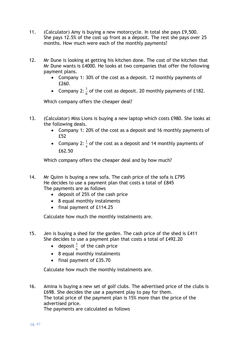- 11. (Calculator) Amy is buying a new motorcycle. In total she pays £9,500. She pays 12.5% of the cost up front as a deposit. The rest she pays over 25 months. How much were each of the monthly payments?
- 12. Mr Dune is looking at getting his kitchen done. The cost of the kitchen that Mr Dune wants is £4000. He looks at two companies that offer the following payment plans.
	- Company 1: 30% of the cost as a deposit. 12 monthly payments of £260.
	- Company 2:  $\frac{1}{8}$  of the cost as deposit. 20 monthly payments of £182.

Which company offers the cheaper deal?

- 13. (Calculator) Miss Lions is buying a new laptop which costs £980. She looks at the following deals.
	- Company 1: 20% of the cost as a deposit and 16 monthly payments of £52
	- Company 2:  $\frac{1}{4}$  of the cost as a deposit and 14 monthly payments of £62.50

Which company offers the cheaper deal and by how much?

- 14. Mr Quinn is buying a new sofa. The cash price of the sofa is £795 He decides to use a payment plan that costs a total of £845 The payments are as follows
	- deposit of 25% of the cash price
	- 8 equal monthly instalments
	- final payment of £114.25

Calculate how much the monthly instalments are.

- 15. Jen is buying a shed for the garden. The cash price of the shed is £411 She decides to use a payment plan that costs a total of £492.20
	- deposit  $\frac{1}{6}$  of the cash price
	- 8 equal monthly instalments
	- final payment of £35.70

Calculate how much the monthly instalments are.

16. Amina is buying a new set of golf clubs. The advertised price of the clubs is £698. She decides the use a payment play to pay for them. The total price of the payment plan is 15% more than the price of the advertised price. The payments are calculated as follows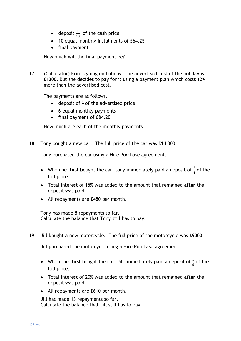- deposit  $\frac{1}{10}$  of the cash price
- 10 equal monthly instalments of £64.25
- final payment

How much will the final payment be?

17. (Calculator) Erin is going on holiday. The advertised cost of the holiday is £1300. But she decides to pay for it using a payment plan which costs 12% more than the advertised cost.

The payments are as follows,

- deposit of  $\frac{1}{8}$  of the advertised price.
- 6 equal monthly payments
- final payment of £84.20

How much are each of the monthly payments.

18. Tony bought a new car. The full price of the car was £14 000.

Tony purchased the car using a Hire Purchase agreement.

- When he first bought the car, tony immediately paid a deposit of  $\frac{1}{4}$  of the full price.
- Total interest of 15% was added to the amount that remained **after** the deposit was paid.
- All repayments are £480 per month.

Tony has made 8 repayments so far. Calculate the balance that Tony still has to pay.

19. Jill bought a new motorcycle. The full price of the motorcycle was £9000.

Jill purchased the motorcycle using a Hire Purchase agreement.

- When she first bought the car, Jill immediately paid a deposit of  $\frac{1}{6}$  of the full price.
- Total interest of 20% was added to the amount that remained **after** the deposit was paid.
- All repayments are £610 per month.

Jill has made 13 repayments so far. Calculate the balance that Jill still has to pay.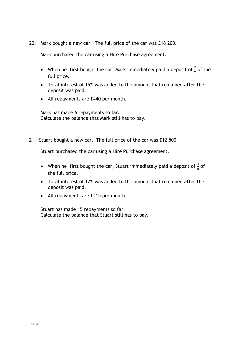20. Mark bought a new car. The full price of the car was £18 200.

Mark purchased the car using a Hire Purchase agreement.

- When he first bought the car, Mark immediately paid a deposit of  $\frac{2}{7}$  of the full price.
- Total interest of 15% was added to the amount that remained **after** the deposit was paid.
- All repayments are £440 per month.

Mark has made 6 repayments so far. Calculate the balance that Mark still has to pay.

21. Stuart bought a new car. The full price of the car was £12 500.

Stuart purchased the car using a Hire Purchase agreement.

- When he first bought the car, Stuart immediately paid a deposit of  $\frac{3}{8}$  of the full price.
- Total interest of 12% was added to the amount that remained **after** the deposit was paid.
- All repayments are £415 per month.

Stuart has made 15 repayments so far. Calculate the balance that Stuart still has to pay.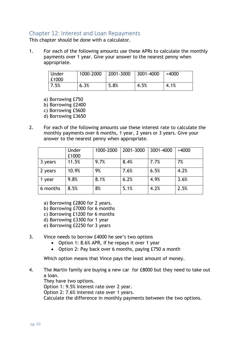#### <span id="page-48-0"></span>Chapter 12: Interest and Loan Repayments

This chapter should be done with a calculator.

1. For each of the following amounts use these APRs to calculate the monthly payments over 1 year. Give your answer to the nearest penny when appropriate.

| Under<br>£1000 | 1000-2000 | 2001-3000 | 3001-4000 | +4000 |
|----------------|-----------|-----------|-----------|-------|
| 7.5%           | 6.3%      | 5.8%      | 4.5%      | 4.1%  |

a) Borrowing £750 b) Borrowing £2400 c) Borrowing £5600

- d) Borrowing £3650
- 2. For each of the following amounts use these interest rate to calculate the monthly payments over 6 months, 1 year, 2 years or 3 years. Give your answer to the nearest penny when appropriate.

|          | Under<br>£1000 | 1000-2000 | 2001-3000 | 3001-4000 | $+4000$ |
|----------|----------------|-----------|-----------|-----------|---------|
| 3 years  | 11.5%          | 9.7%      | 8.4%      | 7.7%      | 7%      |
| 2 years  | 10.9%          | 9%        | 7.6%      | 6.5%      | 4.2%    |
| year     | 9.8%           | 8.1%      | 6.2%      | 4.9%      | 3.6%    |
| 6 months | 8.5%           | 8%        | 5.1%      | 4.2%      | 2.5%    |

- a) Borrowing £2800 for 2 years.
- b) Borrowing £7000 for 6 months
- c) Borrowing £1200 for 6 months
- d) Borrowing £3300 for 1 year
- e) Borrowing £2250 for 3 years
- 3. Vince needs to borrow £4000 he see's two options
	- Option 1: 8.6% APR, if he repays it over 1 year
	- Option 2: Pay back over 6 months, paying £750 a month

Which option means that Vince pays the least amount of money.

4. The Martin family are buying a new car for £8000 but they need to take out a loan. They have two options.

Option 1: 9.5% interest rate over 2 year.

Option 2: 7.6% interest rate over 1 years.

Calculate the difference in monthly payments between the two options.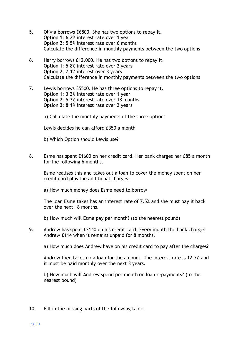- 5. Olivia borrows £6800. She has two options to repay it. Option 1: 6.2% interest rate over 1 year Option 2: 5.5% interest rate over 6 months Calculate the difference in monthly payments between the two options
- 6. Harry borrows £12,000. He has two options to repay it. Option 1: 5.8% interest rate over 2 years Option 2: 7.1% interest over 3 years Calculate the difference in monthly payments between the two options
- 7. Lewis borrows £5500. He has three options to repay it. Option 1: 3.2% interest rate over 1 year Option 2: 5.3% interest rate over 18 months Option 3: 8.1% interest rate over 2 years

a) Calculate the monthly payments of the three options

Lewis decides he can afford £350 a month

- b) Which Option should Lewis use?
- 8. Esme has spent £1600 on her credit card. Her bank charges her £85 a month for the following 6 months.

Esme realises this and takes out a loan to cover the money spent on her credit card plus the additional charges.

a) How much money does Esme need to borrow

The loan Esme takes has an interest rate of 7.5% and she must pay it back over the next 18 months.

- b) How much will Esme pay per month? (to the nearest pound)
- 9. Andrew has spent £2140 on his credit card. Every month the bank charges Andrew £114 when it remains unpaid for 8 months.

a) How much does Andrew have on his credit card to pay after the charges?

Andrew then takes up a loan for the amount. The interest rate is 12.7% and it must be paid monthly over the next 3 years.

b) How much will Andrew spend per month on loan repayments? (to the nearest pound)

10. Fill in the missing parts of the following table.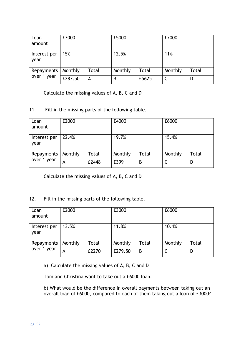| Loan<br>amount       | £3000   |       | £5000   |       | £7000   |       |
|----------------------|---------|-------|---------|-------|---------|-------|
| Interest per<br>year | 15%     |       | 12.5%   |       | 11%     |       |
| Repayments           | Monthly | Total | Monthly | Total | Monthly | Total |
| over 1 year          | £287.50 | A     | B       | £5625 |         | D     |

Calculate the missing values of A, B, C and D

#### 11. Fill in the missing parts of the following table.

| Loan<br>amount       | £2000   |              | £4000   |              | £6000   |       |
|----------------------|---------|--------------|---------|--------------|---------|-------|
| Interest per<br>year | 22.4%   |              | 19.7%   |              | 15.4%   |       |
| Repayments           | Monthly | <b>Total</b> | Monthly | <b>Total</b> | Monthly | Total |
| over 1 year          | А       | £2448        | £399    | B            |         | D     |

Calculate the missing values of A, B, C and D

#### 12. Fill in the missing parts of the following table.

| Loan<br>amount       | £2000   |       | £3000   |       | £6000   |              |
|----------------------|---------|-------|---------|-------|---------|--------------|
| Interest per<br>year | 13.5%   |       | 11.8%   |       | 10.4%   |              |
| Repayments           | Monthly | Total | Monthly | Total | Monthly | <b>Total</b> |
| over 1 year          | А       | £2270 | £279.50 | B     |         | D            |

a) Calculate the missing values of A, B, C and D

Tom and Christina want to take out a £6000 loan.

b) What would be the difference in overall payments between taking out an overall loan of £6000, compared to each of them taking out a loan of £3000?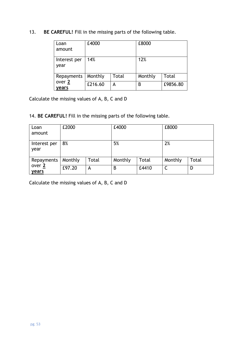#### 13. **BE CAREFUL!** Fill in the missing parts of the following table.

| Loan<br>amount       | £4000   |       | £8000   |              |
|----------------------|---------|-------|---------|--------------|
| Interest per<br>year | 14%     |       | 12%     |              |
| Repayments           | Monthly | Total | Monthly | <b>Total</b> |
| over 2<br>years      | £216.60 | A     | B       | £9856.80     |

Calculate the missing values of A, B, C and D

14. **BE CAREFUL!** Fill in the missing parts of the following table.

| Loan<br>amount       | £2000   |       | £4000   |              | £8000   |       |
|----------------------|---------|-------|---------|--------------|---------|-------|
| Interest per<br>year | 8%      |       | 5%      |              | 2%      |       |
| Repayments           | Monthly | Total | Monthly | <b>Total</b> | Monthly | Total |
| over 2<br>years      | £97.20  | A     | B       | £4410        |         | D     |

Calculate the missing values of A, B, C and D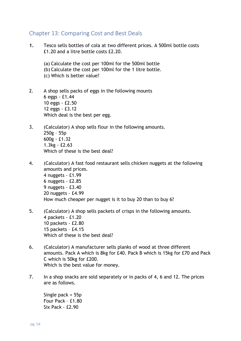#### <span id="page-52-0"></span>Chapter 13: Comparing Cost and Best Deals

- **1.** Tesco sells bottles of cola at two different prices. A 500ml bottle costs £1.20 and a litre bottle costs £2.20.
	- (a) Calculate the cost per 100ml for the 500ml bottle (b) Calculate the cost per 100ml for the 1 litre bottle. (c) Which is better value?
- 2. A shop sells packs of eggs in the following mounts 6 eggs - £1.44 10 eggs - £2.50 12 eggs - £3.12 Which deal is the best per egg.
- 3. (Calculator) A shop sells flour in the following amounts. 250g – 55p 600g - £1.32 1.3kg - £2.63 Which of these is the best deal?
- 4. (Calculator) A fast food restaurant sells chicken nuggets at the following amounts and prices. 4 nuggets - £1.99 6 nuggets - £2.85 9 nuggets - £3.40 20 nuggets - £4.99 How much cheaper per nugget is it to buy 20 than to buy 6?
- 5. (Calculator) A shop sells packets of crisps in the following amounts. 4 packets - £1.20 10 packets - £2.80 15 packets – £4.15 Which of these is the best deal?
- 6. (Calculator) A manufacturer sells planks of wood at three different amounts. Pack A which is 8kg for £40. Pack B which is 15kg for £70 and Pack C which is 50kg for £200. Which is the best value for money.
- 7. In a shop snacks are sold separately or in packs of 4, 6 and 12. The prices are as follows.

Single pack = 55p Four Pack – £1.80 Six Pack - £2.90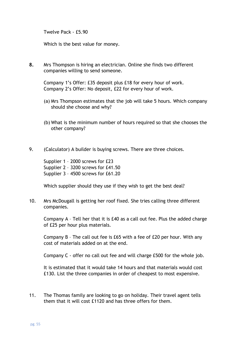Twelve Pack - £5.90

Which is the best value for money.

**8.** Mrs Thompson is hiring an electrician. Online she finds two different companies willing to send someone.

Company 1's Offer: £35 deposit plus £18 for every hour of work. Company 2's Offer: No deposit, £22 for every hour of work.

- (a) Mrs Thompson estimates that the job will take 5 hours. Which company should she choose and why?
- (b) What is the minimum number of hours required so that she chooses the other company?
- 9. (Calculator) A builder is buying screws. There are three choices.

Supplier 1 – 2000 screws for £23 Supplier 2 – 3200 screws for £41.50 Supplier 3 – 4500 screws for £61.20

Which supplier should they use if they wish to get the best deal?

10. Mrs McDougall is getting her roof fixed. She tries calling three different companies.

Company A – Tell her that it is £40 as a call out fee. Plus the added charge of £25 per hour plus materials.

Company B – The call out fee is £65 with a fee of £20 per hour. With any cost of materials added on at the end.

Company C - offer no call out fee and will charge £500 for the whole job.

It is estimated that it would take 14 hours and that materials would cost £130. List the three companies in order of cheapest to most expensive.

11. The Thomas family are looking to go on holiday. Their travel agent tells them that it will cost £1120 and has three offers for them.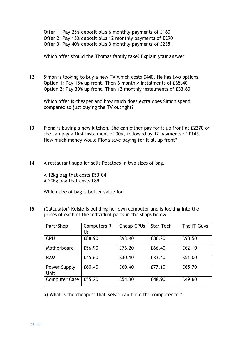Offer 1: Pay 25% deposit plus 6 monthly payments of £160 Offer 2: Pay 15% deposit plus 12 monthly payments of ££90 Offer 3: Pay 40% deposit plus 3 monthly payments of £235.

Which offer should the Thomas family take? Explain your answer

12. Simon is looking to buy a new TV which costs £440. He has two options. Option 1: Pay 15% up front. Then 6 monthly instalments of £65.40 Option 2: Pay 30% up front. Then 12 monthly instalments of £33.60

Which offer is cheaper and how much does extra does Simon spend compared to just buying the TV outright?

- 13. Fiona is buying a new kitchen. She can either pay for it up front at £2270 or she can pay a first instalment of 30%, followed by 12 payments of £145. How much money would Fiona save paying for it all up front?
- 14. A restaurant supplier sells Potatoes in two sizes of bag.

A 12kg bag that costs £53.04 A 20kg bag that costs £89

Which size of bag is better value for

15. (Calculator) Kelsie is building her own computer and is looking into the prices of each of the individual parts in the shops below.

| Part/Shop                   | <b>Computers R</b> | Cheap CPUs | <b>Star Tech</b> | The IT Guys |
|-----------------------------|--------------------|------------|------------------|-------------|
|                             | Us                 |            |                  |             |
| <b>CPU</b>                  | £88.90             | £93.40     | £86.20           | £90.50      |
| Motherboard                 | £56.90             | £76.20     | £66.40           | £62.10      |
| <b>RAM</b>                  | £45.60             | £30.10     | £33.40           | £51.00      |
| Power Supply<br><b>Unit</b> | £60.40             | £60.40     | £77.10           | £65.70      |
| <b>Computer Case</b>        | £55.20             | £54.30     | £48.90           | £49.60      |

a) What is the cheapest that Kelsie can build the computer for?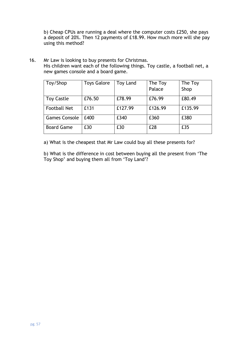b) Cheap CPUs are running a deal where the computer costs £250, she pays a deposit of 20%. Then 12 payments of £18.99. How much more will she pay using this method?

16. Mr Law is looking to buy presents for Christmas. His children want each of the following things. Toy castle, a football net, a new games console and a board game.

| Toy/Shop             | <b>Toys Galore</b> | <b>Toy Land</b> | The Toy | The Toy |
|----------------------|--------------------|-----------------|---------|---------|
|                      |                    |                 | Palace  | Shop    |
| <b>Toy Castle</b>    | £76.50             | £78.99          | £76.99  | £80.49  |
| <b>Football Net</b>  | £131               | £127.99         | £126.99 | £135.99 |
| <b>Games Console</b> | £400               | £340            | £360    | £380    |
| <b>Board Game</b>    | £30                | £30             | £28     | £35     |

a) What is the cheapest that Mr Law could buy all these presents for?

b) What is the difference in cost between buying all the present from 'The Toy Shop' and buying them all from 'Toy Land'?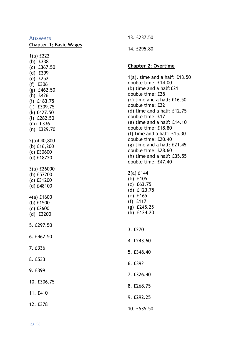#### Answers

#### **Chapter 1: Basic Wages**

1(a) £222 (b) £338 (c) £367.50 (d) £399 (e) £252 (f) £306 (g) £462.50 (h) £426 (i) £183.75 (j) £309.75 (k) £427.50 (l) £282.50 (m) £336 (n) £329.70 2(a)£40,800 (b) £16,200 (c) £30600 (d) £18720 3(a) £26000 (b) £57200 (c) £31200 (d) £48100 4(a) £1600 (b) £1500 (c) £2600 (d) £3200 5. £297.50 6. £462.50 7. £336 8. £533 9. £399 10. £306.75 11. £410 12. £378

13. £237.50 14. £295.80

#### **Chapter 2: Overtime**

1(a). time and a half: £13.50 double time: £14.00 (b) time and a half:£21 double time: £28 (c) time and a half: £16.50 double time: £22 (d) time and a half: £12.75 double time: £17 (e) time and a half: £14.10 double time: £18.80 (f) time and a half: £15.30 double time: £20.40 (g) time and a half: £21.45 double time: £28.60 (h) time and a half: £35.55 double time: £47.40

2(a) £144 (b) £105 (c) £63.75 (d) £123.75 (e) £165 (f) £117 (g) £245.25 (h) £124.20

## 3. £270 4. £243.60 5. £348.40

- 
- 6. £392
- 7. £326.40
- 8. £268.75
- 9. £292.25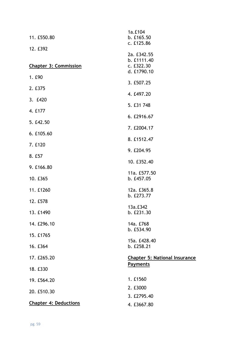| 11. £550.80                  | 1a.£104<br>b. £165.50<br>c. £125.86      |
|------------------------------|------------------------------------------|
| 12. £392                     | 2a. £342.55                              |
| <b>Chapter 3: Commission</b> | b. £1111.40<br>c. £322.30<br>d. £1790.10 |
| 1. £90                       | 3. £507.25                               |
| 2. £375                      |                                          |
| 3. £420                      | 4. £497.20                               |
| 4. £177                      | 5. £31 748                               |
| 5. £42.50                    | 6. £2916.67                              |
| 6. £105.60                   | 7. £2004.17                              |
| 7. £120                      | 8. £1512.47                              |
| 8. £57                       | 9. £204.95                               |
| 9. £166.80                   | 10. £352.40                              |
| 10. £365                     | 11a. £577.50<br>b. £457.05               |
| 11. £1260                    | 12a. £365.8                              |
| 12. £578                     | b. £273.77                               |
| 13. £1490                    | 13a.£342<br>b. £231.30                   |
| 14. £296.10                  | 14a. £768<br>b. £534.90                  |
| 15. £1765                    | 15a. £428.40                             |
| 16. £364                     | b. £258.21                               |
| 17. £265.20                  | <b>Chapter 5: National Insurance</b>     |
| 18. £330                     | <b>Payments</b>                          |
| 19. £564.20                  | 1. £1560                                 |
| 20. £510.30                  | 2. £3000<br>3. £2795.40                  |
| <b>Chapter 4: Deductions</b> | 4. £3667.80                              |
|                              |                                          |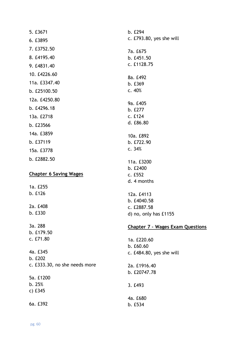| 5. £3671                                             |
|------------------------------------------------------|
| 6. £3895                                             |
| 7. £3752.50                                          |
| 8. £4195.40                                          |
| 9. £4831.40                                          |
| 10. £4226.60                                         |
| 11a. £3347.40                                        |
| b. £25100.50                                         |
| 12a. £4250.80                                        |
| b. £4296.18                                          |
| 13a. £2718                                           |
| b. £23566                                            |
| 14a. £3859                                           |
| b. £37119                                            |
| 15a. £3778                                           |
|                                                      |
| b. £2882.50                                          |
| <b>Chapter 6 Saving Wages</b>                        |
| 1a. £255                                             |
| b. £126                                              |
| 2a. £408<br>b. £330                                  |
| 3a. 288<br>b. £179.50<br>c. £71.80                   |
| 4a. £345<br>b. £202<br>c. £333.30, no she needs more |

5a. £1200 b. 25% c) £345

6a. £392

| b. £294                                 |
|-----------------------------------------|
| c. £793.80, yes she will                |
| 7a. £675                                |
| b. £451.50                              |
| c. £1128.75                             |
| 8a. £492                                |
| b. £369                                 |
| c. 40%                                  |
| 9a. £405                                |
| b. £277                                 |
| c. £124                                 |
| d. £86.80                               |
| 10a. £892                               |
| b. £722.90                              |
| c.34%                                   |
| 11a. £3200                              |
| b. £2400                                |
| c. £552                                 |
| d. 4 months                             |
| 12a. £4113                              |
| b. £4040.58                             |
| c. £2887.58                             |
| d) no, only has £1155                   |
| <b>Chapter 7 - Wages Exam Questions</b> |
| 1a. £220.60                             |
| b. £60.60                               |

2a. £1916.40 b. £20747.78

c. £484.80, yes she will

3. £493

4a. £680 b. £534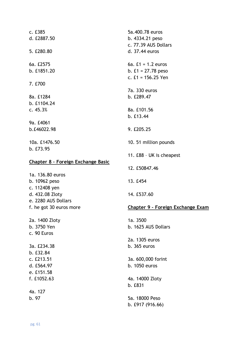c. £385 d. £2887.50 5. £280.80 6a. £2575 b. £1851.20 7. £700 8a. £1284 b. £1104.24 c. 45.3% 9a. £4061 b.£46022.98 10a. £1476.50 b. £73.95 **Chapter 8 – Foreign Exchange Basic** 1a. 136.80 euros b. 10962 peso c. 112408 yen d. 432.08 Zloty e. 2280 AUS Dollars f. he got 30 euros more 2a. 1400 Zloty b. 3750 Yen c. 90 Euros 3a. £234.38 b. £32.84 c. £213.51 d. £564.97 e. £151.58 f. £1052.63 4a. 127 b. 97 5a.400.78 euros b. 4334.21 peso c. 77.39 AUS Dollars d. 37.44 euros 6a. £1 = 1.2 euros b. £1 = 27.78 peso c. £1 = 156.25 Yen 7a. 330 euros b. £289.47 8a. £101.56 b. £13.44 9. £205.25 10. 51 million pounds 11. £88 – UK is cheapest 12. £50847.46 13. £454 14. £537.60 **Chapter 9 – Foreign Exchange Exam** 1a. 3500 b. 1625 AUS Dollars 2a. 1305 euros b. 365 euros 3a. 600,000 forint b. 1050 euros 4a. 14000 Zloty b. £831 5a. 18000 Peso b. £917 (916.66)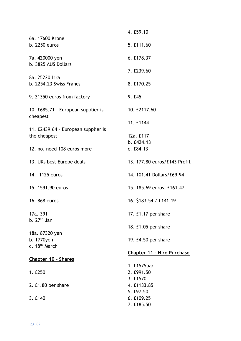|                                                     | 4. £59.10                         |
|-----------------------------------------------------|-----------------------------------|
| 6a. 17600 Krone                                     |                                   |
| b. 2250 euros                                       | 5. £111.60                        |
| 7a. 420000 yen                                      | 6. £178.37                        |
| b. 3825 AUS Dollars                                 |                                   |
|                                                     | 7. £239.60                        |
| 8a. 25220 Lira<br>b. 2254.23 Swiss Francs           | 8. £170.25                        |
| 9. 21350 euros from factory                         | 9. £45                            |
| 10. £685.71 - European supplier is<br>cheapest      | 10. £2117.60                      |
|                                                     | 11. £1144                         |
| 11. £2439.64 - European supplier is<br>the cheapest | 12a. £117                         |
|                                                     | b. £424.13                        |
| 12. no, need 108 euros more                         | c. E84.13                         |
| 13. UKs best Europe deals                           | 13. 177.80 euros/£143 Profit      |
| 14. 1125 euros                                      | 14. 101.41 Dollars/£69.94         |
| 15. 1591.90 euros                                   | 15. 185.69 euros, £161.47         |
| 16. 868 euros                                       | 16. \$183.54 / £141.19            |
| 17a. 391                                            | 17. £1.17 per share               |
| b. $27th$ Jan                                       |                                   |
|                                                     | 18. £1.05 per share               |
| 18a. 87320 yen                                      |                                   |
| b. 1770yen<br>c. 18 <sup>th</sup> March             | 19. £4.50 per share               |
|                                                     | <b>Chapter 11 - Hire Purchase</b> |
| Chapter 10 - Shares                                 |                                   |
|                                                     | 1. £1575bar                       |
| 1. £250                                             | 2. £991.50                        |
|                                                     | 3. £1570                          |
| 2. £1.80 per share                                  | 4. £1133.85                       |
|                                                     | 5. £97.50                         |
| 3. £140                                             | 6. £109.25<br>7. £185.50          |
|                                                     |                                   |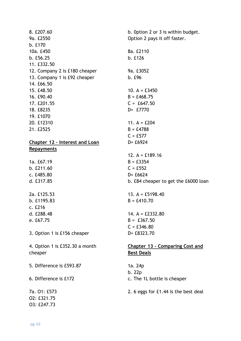| 8. £207.60                     | b. Option 2 or 3 is within budget.     |
|--------------------------------|----------------------------------------|
| 9a. £2550                      | Option 2 pays it off faster.           |
| b. £170                        |                                        |
| 10a. £450                      | 8a. £2110                              |
| b. £56.25                      | b. £126                                |
| 11. £332.50                    |                                        |
| 12. Company 2 is £180 cheaper  | 9a. £3052                              |
| 13. Company 1 is £92 cheaper   | b. £96                                 |
| 14. £66.50                     |                                        |
| 15. £48.50                     | 10. $A = £3450$                        |
| 16. £90.40                     | $B = £468.75$                          |
| 17. £201.55                    | $C = £647.50$                          |
| 18. £8235                      | D= £7770                               |
| 19. £1070                      |                                        |
| 20. £12310                     | 11. $A = £204$                         |
| 21. £2525                      | $B = £4788$                            |
|                                | $C = £577$                             |
| Chapter 12 - Interest and Loan | $D = £6924$                            |
| <b>Repayments</b>              |                                        |
|                                | 12. $A = £189.16$                      |
| 1a. £67.19                     | $B = £3354$                            |
| b. £211.60                     | $C = £552$                             |
| c. £485.80                     | $D = £6624$                            |
| d. £317.85                     | b. £84 cheaper to get the £6000 loan   |
|                                |                                        |
| 2a. £125.53                    | 13. $A = £5198.40$                     |
| b. £1195.83                    | $B = £410.70$                          |
| c. E216                        |                                        |
| d. £288.48                     | 14. $A = \text{\pounds}2332.80$        |
| e. £67.75                      | $B = £367.50$                          |
|                                | $C = £346.80$                          |
| 3. Option 1 is £156 cheaper    | D= £8323.70                            |
| 4. Option 1 is £352.30 a month | <b>Chapter 13 - Comparing Cost and</b> |
| cheaper                        | <b>Best Deals</b>                      |
| 5. Difference is £593.87       | 1a. 24p                                |
|                                | b. 22p                                 |
| 6. Difference is £172          | c. The 1L bottle is cheaper            |
| 7a. 01: £573                   | 2. 6 eggs for £1.44 is the best deal   |
| O2: £321.75                    |                                        |
| O3: £247.73                    |                                        |